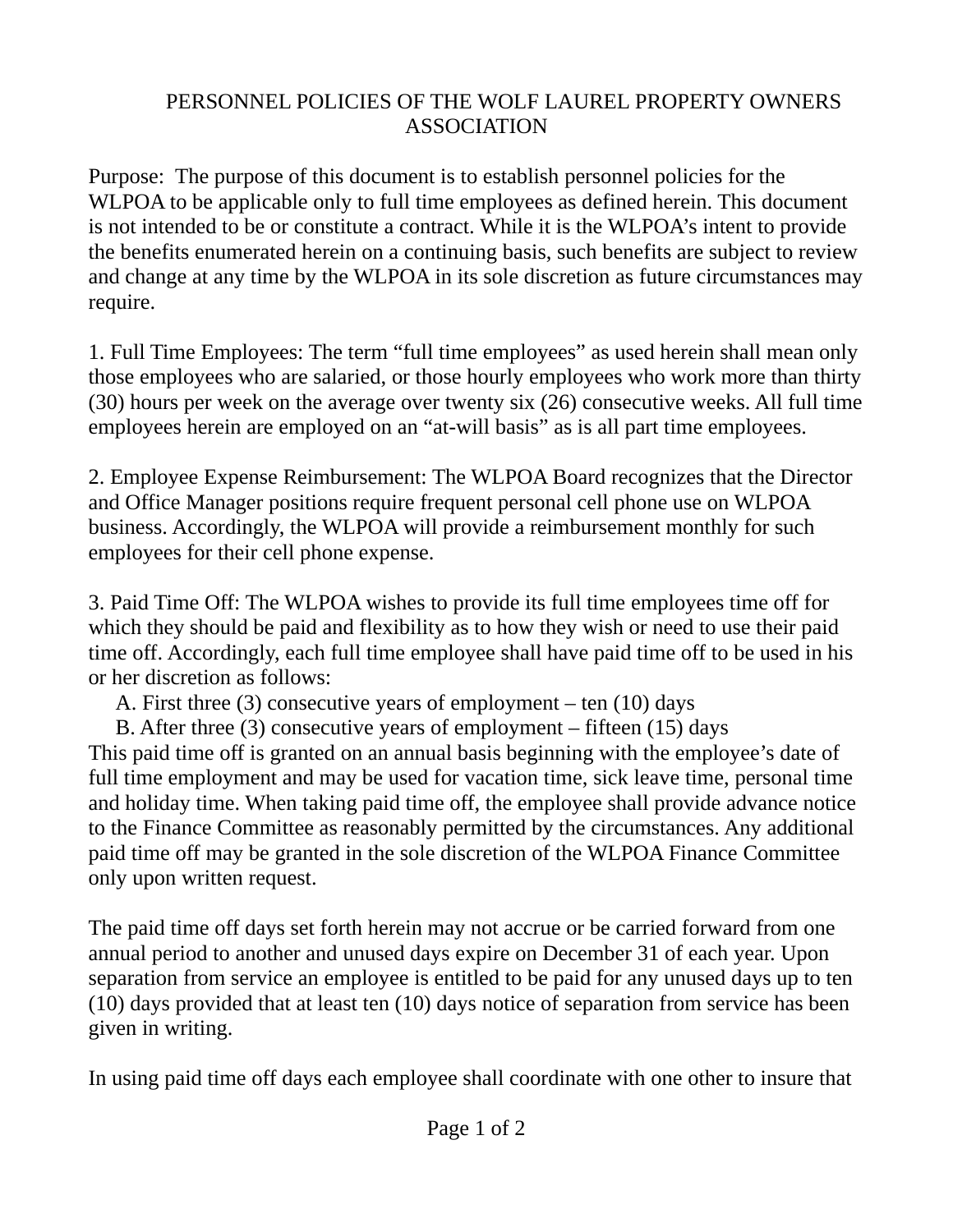## PERSONNEL POLICIES OF THE WOLF LAUREL PROPERTY OWNERS ASSOCIATION

Purpose: The purpose of this document is to establish personnel policies for the WLPOA to be applicable only to full time employees as defined herein. This document is not intended to be or constitute a contract. While it is the WLPOA's intent to provide the benefits enumerated herein on a continuing basis, such benefits are subject to review and change at any time by the WLPOA in its sole discretion as future circumstances may require.

1. Full Time Employees: The term "full time employees" as used herein shall mean only those employees who are salaried, or those hourly employees who work more than thirty (30) hours per week on the average over twenty six (26) consecutive weeks. All full time employees herein are employed on an "at-will basis" as is all part time employees.

2. Employee Expense Reimbursement: The WLPOA Board recognizes that the Director and Office Manager positions require frequent personal cell phone use on WLPOA business. Accordingly, the WLPOA will provide a reimbursement monthly for such employees for their cell phone expense.

3. Paid Time Off: The WLPOA wishes to provide its full time employees time off for which they should be paid and flexibility as to how they wish or need to use their paid time off. Accordingly, each full time employee shall have paid time off to be used in his or her discretion as follows:

A. First three (3) consecutive years of employment – ten (10) days

 B. After three (3) consecutive years of employment – fifteen (15) days This paid time off is granted on an annual basis beginning with the employee's date of full time employment and may be used for vacation time, sick leave time, personal time and holiday time. When taking paid time off, the employee shall provide advance notice to the Finance Committee as reasonably permitted by the circumstances. Any additional paid time off may be granted in the sole discretion of the WLPOA Finance Committee only upon written request.

The paid time off days set forth herein may not accrue or be carried forward from one annual period to another and unused days expire on December 31 of each year. Upon separation from service an employee is entitled to be paid for any unused days up to ten (10) days provided that at least ten (10) days notice of separation from service has been given in writing.

In using paid time off days each employee shall coordinate with one other to insure that